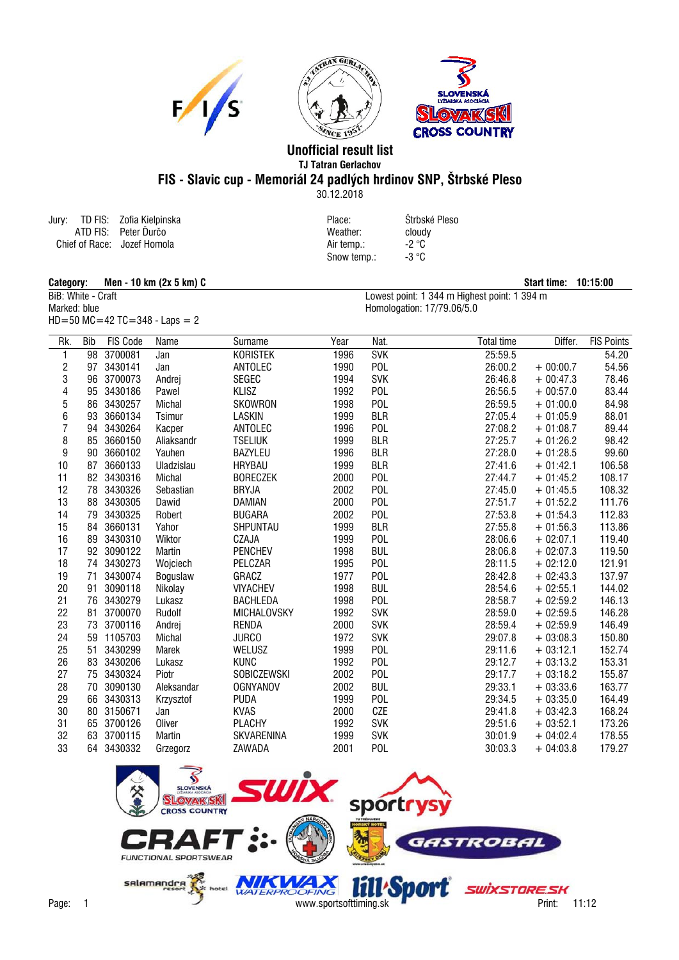





## **Unofficial result list TJ Tatran Gerlachov FIS - Slavic cup - Memoriál 24 padlých hrdinov SNP, Štrbské Pleso**

30.12.2018

Snow temp.: -3 °C

Jury: TD FIS: Zofia Kielpinska Place: Štrbské Pleso ATD FIS: Peter Ïurèo Weather: cloudy Chief of Race: Air temp.: -2 °C Jozef Homola

 $HD = 50$  MC = 42 TC = 348 - Laps = 2

**Category:** Men - 10 km (2x 5 km) C<br>BiB: White - Craft **Start time: 10:15:00**<br>Lowest point: 1 344 m Highest point: 1 394 m BiB: White - Craft Lowest point: 1 344 m Highest point: 1 394 m<br>Marked: blue Homologation: 17/79.06/5.0 Homologation: 17/79.06/5.0

| Rk.                     | <b>Bib</b> | <b>FIS Code</b> | Name          | Surname           | Year | Nat.       | <b>Total time</b> | Differ.    | <b>FIS Points</b> |
|-------------------------|------------|-----------------|---------------|-------------------|------|------------|-------------------|------------|-------------------|
| 1                       | 98         | 3700081         | Jan           | <b>KORISTEK</b>   | 1996 | <b>SVK</b> | 25:59.5           |            | 54.20             |
| $\overline{\mathbf{c}}$ | 97         | 3430141         | Jan           | ANTOLEC           | 1990 | <b>POL</b> | 26:00.2           | $+00:00.7$ | 54.56             |
| 3                       | 96         | 3700073         | Andrej        | <b>SEGEC</b>      | 1994 | <b>SVK</b> | 26:46.8           | $+00:47.3$ | 78.46             |
| 4                       | 95         | 3430186         | Pawel         | <b>KLISZ</b>      | 1992 | <b>POL</b> | 26:56.5           | $+00:57.0$ | 83.44             |
| 5                       |            | 86 3430257      | Michal        | SKOWRON           | 1998 | <b>POL</b> | 26:59.5           | $+01:00.0$ | 84.98             |
| 6                       | 93         | 3660134         | Tsimur        | <b>LASKIN</b>     | 1999 | <b>BLR</b> | 27:05.4           | $+01:05.9$ | 88.01             |
| $\overline{7}$          | 94         | 3430264         | Kacper        | ANTOLEC           | 1996 | <b>POL</b> | 27:08.2           | $+01:08.7$ | 89.44             |
| 8                       | 85         | 3660150         | Aliaksandr    | <b>TSELIUK</b>    | 1999 | <b>BLR</b> | 27:25.7           | $+01:26.2$ | 98.42             |
| 9                       | 90         | 3660102         | Yauhen        | BAZYLEU           | 1996 | <b>BLR</b> | 27:28.0           | $+01:28.5$ | 99.60             |
| 10                      | 87         | 3660133         | Uladzislau    | <b>HRYBAU</b>     | 1999 | <b>BLR</b> | 27:41.6           | $+01:42.1$ | 106.58            |
| 11                      |            | 82 3430316      | Michal        | <b>BORECZEK</b>   | 2000 | <b>POL</b> | 27:44.7           | $+01:45.2$ | 108.17            |
| 12                      | 78         | 3430326         | Sebastian     | <b>BRYJA</b>      | 2002 | <b>POL</b> | 27:45.0           | $+01:45.5$ | 108.32            |
| 13                      | 88         | 3430305         | Dawid         | DAMIAN            | 2000 | <b>POL</b> | 27:51.7           | $+01:52.2$ | 111.76            |
| 14                      | 79         | 3430325         | Robert        | <b>BUGARA</b>     | 2002 | <b>POL</b> | 27:53.8           | $+01:54.3$ | 112.83            |
| 15                      | 84         | 3660131         | Yahor         | SHPUNTAU          | 1999 | <b>BLR</b> | 27:55.8           | $+01:56.3$ | 113.86            |
| 16                      | 89         | 3430310         | Wiktor        | CZAJA             | 1999 | <b>POL</b> | 28:06.6           | $+02:07.1$ | 119.40            |
| 17                      |            | 92 3090122      | Martin        | <b>PENCHEV</b>    | 1998 | <b>BUL</b> | 28:06.8           | $+02:07.3$ | 119.50            |
| 18                      |            | 74 3430273      | Wojciech      | PELCZAR           | 1995 | <b>POL</b> | 28:11.5           | $+02:12.0$ | 121.91            |
| 19                      | 71         | 3430074         | Boguslaw      | GRACZ             | 1977 | <b>POL</b> | 28:42.8           | $+02:43.3$ | 137.97            |
| 20                      | 91         | 3090118         | Nikolay       | <b>VIYACHEV</b>   | 1998 | <b>BUL</b> | 28:54.6           | $+02:55.1$ | 144.02            |
| 21                      |            | 76 3430279      | Lukasz        | <b>BACHLEDA</b>   | 1998 | <b>POL</b> | 28:58.7           | $+02:59.2$ | 146.13            |
| 22                      | 81         | 3700070         | Rudolf        | MICHALOVSKY       | 1992 | <b>SVK</b> | 28:59.0           | $+02:59.5$ | 146.28            |
| 23                      | 73         | 3700116         | Andrej        | <b>RENDA</b>      | 2000 | <b>SVK</b> | 28:59.4           | $+02:59.9$ | 146.49            |
| 24                      | 59         | 1105703         | Michal        | <b>JURCO</b>      | 1972 | <b>SVK</b> | 29:07.8           | $+03:08.3$ | 150.80            |
| 25                      | 51         | 3430299         | Marek         | WELUSZ            | 1999 | <b>POL</b> | 29:11.6           | $+03:12.1$ | 152.74            |
| 26                      | 83         | 3430206         | Lukasz        | <b>KUNC</b>       | 1992 | <b>POL</b> | 29:12.7           | $+03:13.2$ | 153.31            |
| 27                      | 75         | 3430324         | Piotr         | SOBICZEWSKI       | 2002 | <b>POL</b> | 29:17.7           | $+03:18.2$ | 155.87            |
| 28                      | 70         | 3090130         | Aleksandar    | <b>OGNYANOV</b>   | 2002 | <b>BUL</b> | 29:33.1           | $+03:33.6$ | 163.77            |
| 29                      | 66         | 3430313         | Krzysztof     | <b>PUDA</b>       | 1999 | POL        | 29:34.5           | $+03:35.0$ | 164.49            |
| 30                      |            | 80 3150671      | Jan           | <b>KVAS</b>       | 2000 | CZE        | 29:41.8           | $+03:42.3$ | 168.24            |
| 31                      |            | 65 3700126      | Oliver        | <b>PLACHY</b>     | 1992 | <b>SVK</b> | 29:51.6           | $+03:52.1$ | 173.26            |
| 32                      | 63         | 3700115         | <b>Martin</b> | <b>SKVARENINA</b> | 1999 | <b>SVK</b> | 30:01.9           | $+04:02.4$ | 178.55            |
| 33                      |            | 64 3430332      | Grzegorz      | ZAWADA            | 2001 | POL        | 30:03.3           | $+04:03.8$ | 179.27            |
|                         |            |                 |               |                   |      |            |                   |            |                   |